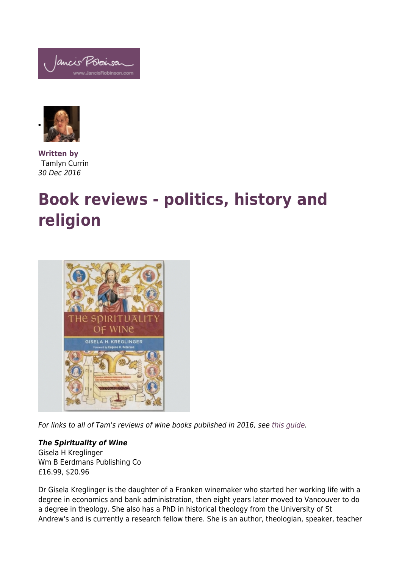



**Written by** Tamlyn Currin 30 Dec 2016

## **Book reviews - politics, history and religion**



For links to all of Tam's reviews of wine books published in 2016, see [this guide.](http://www.jancisrobinson.com/articles/book-reviews-2016-a-guide)

## *The Spirituality of Wine*

Gisela H Kreglinger Wm B Eerdmans Publishing Co £16.99, \$20.96

Dr Gisela Kreglinger is the daughter of a Franken winemaker who started her working life with a degree in economics and bank administration, then eight years later moved to Vancouver to do a degree in theology. She also has a PhD in historical theology from the University of St Andrew's and is currently a research fellow there. She is an author, theologian, speaker, teacher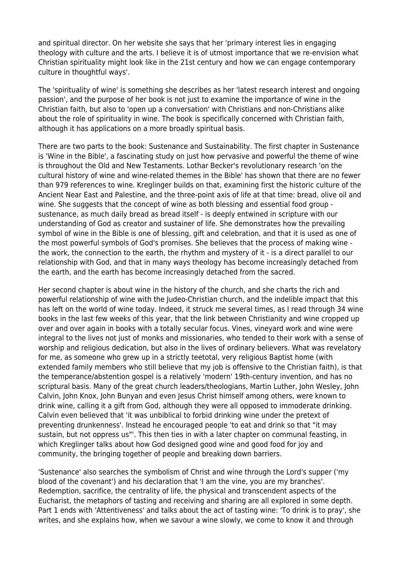and spiritual director. On her website she says that her 'primary interest lies in engaging theology with culture and the arts. I believe it is of utmost importance that we re-envision what Christian spirituality might look like in the 21st century and how we can engage contemporary culture in thoughtful ways'.

The 'spirituality of wine' is something she describes as her 'latest research interest and ongoing passion', and the purpose of her book is not just to examine the importance of wine in the Christian faith, but also to 'open up a conversation' with Christians and non-Christians alike about the role of spirituality in wine. The book is specifically concerned with Christian faith, although it has applications on a more broadly spiritual basis.

There are two parts to the book: Sustenance and Sustainability. The first chapter in Sustenance is 'Wine in the Bible', a fascinating study on just how pervasive and powerful the theme of wine is throughout the Old and New Testaments. Lothar Becker's revolutionary research 'on the cultural history of wine and wine-related themes in the Bible' has shown that there are no fewer than 979 references to wine. Kreglinger builds on that, examining first the historic culture of the Ancient Near East and Palestine, and the three-point axis of life at that time: bread, olive oil and wine. She suggests that the concept of wine as both blessing and essential food group sustenance, as much daily bread as bread itself - is deeply entwined in scripture with our understanding of God as creator and sustainer of life. She demonstrates how the prevailing symbol of wine in the Bible is one of blessing, gift and celebration, and that it is used as one of the most powerful symbols of God's promises. She believes that the process of making wine the work, the connection to the earth, the rhythm and mystery of it - is a direct parallel to our relationship with God, and that in many ways theology has become increasingly detached from the earth, and the earth has become increasingly detached from the sacred.

Her second chapter is about wine in the history of the church, and she charts the rich and powerful relationship of wine with the Judeo-Christian church, and the indelible impact that this has left on the world of wine today. Indeed, it struck me several times, as I read through 34 wine books in the last few weeks of this year, that the link between Christianity and wine cropped up over and over again in books with a totally secular focus. Vines, vineyard work and wine were integral to the lives not just of monks and missionaries, who tended to their work with a sense of worship and religious dedication, but also in the lives of ordinary believers. What was revelatory for me, as someone who grew up in a strictly teetotal, very religious Baptist home (with extended family members who still believe that my job is offensive to the Christian faith), is that the temperance/abstention gospel is a relatively 'modern' 19th-century invention, and has no scriptural basis. Many of the great church leaders/theologians, Martin Luther, John Wesley, John Calvin, John Knox, John Bunyan and even Jesus Christ himself among others, were known to drink wine, calling it a gift from God, although they were all opposed to immoderate drinking. Calvin even believed that 'it was unbiblical to forbid drinking wine under the pretext of preventing drunkenness'. Instead he encouraged people 'to eat and drink so that "it may sustain, but not oppress us"'. This then ties in with a later chapter on communal feasting, in which Kreglinger talks about how God designed good wine and good food for joy and community, the bringing together of people and breaking down barriers.

'Sustenance' also searches the symbolism of Christ and wine through the Lord's supper ('my blood of the covenant') and his declaration that 'I am the vine, you are my branches'. Redemption, sacrifice, the centrality of life, the physical and transcendent aspects of the Eucharist, the metaphors of tasting and receiving and sharing are all explored in some depth. Part 1 ends with 'Attentiveness' and talks about the act of tasting wine: 'To drink is to pray', she writes, and she explains how, when we savour a wine slowly, we come to know it and through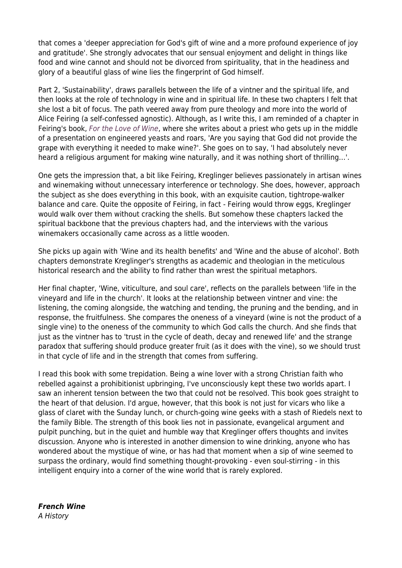that comes a 'deeper appreciation for God's gift of wine and a more profound experience of joy and gratitude'. She strongly advocates that our sensual enjoyment and delight in things like food and wine cannot and should not be divorced from spirituality, that in the headiness and glory of a beautiful glass of wine lies the fingerprint of God himself.

Part 2, 'Sustainability', draws parallels between the life of a vintner and the spiritual life, and then looks at the role of technology in wine and in spiritual life. In these two chapters I felt that she lost a bit of focus. The path veered away from pure theology and more into the world of Alice Feiring (a self-confessed agnostic). Although, as I write this, I am reminded of a chapter in Feiring's book, [For the Love of Wine](http://www.jancisrobinson.com/articles/book-reviews-2016-places-less-known), where she writes about a priest who gets up in the middle of a presentation on engineered yeasts and roars, 'Are you saying that God did not provide the grape with everything it needed to make wine?'. She goes on to say, 'I had absolutely never heard a religious argument for making wine naturally, and it was nothing short of thrilling…'.

One gets the impression that, a bit like Feiring, Kreglinger believes passionately in artisan wines and winemaking without unnecessary interference or technology. She does, however, approach the subject as she does everything in this book, with an exquisite caution, tightrope-walker balance and care. Quite the opposite of Feiring, in fact - Feiring would throw eggs, Kreglinger would walk over them without cracking the shells. But somehow these chapters lacked the spiritual backbone that the previous chapters had, and the interviews with the various winemakers occasionally came across as a little wooden.

She picks up again with 'Wine and its health benefits' and 'Wine and the abuse of alcohol'. Both chapters demonstrate Kreglinger's strengths as academic and theologian in the meticulous historical research and the ability to find rather than wrest the spiritual metaphors.

Her final chapter, 'Wine, viticulture, and soul care', reflects on the parallels between 'life in the vineyard and life in the church'. It looks at the relationship between vintner and vine: the listening, the coming alongside, the watching and tending, the pruning and the bending, and in response, the fruitfulness. She compares the oneness of a vineyard (wine is not the product of a single vine) to the oneness of the community to which God calls the church. And she finds that just as the vintner has to 'trust in the cycle of death, decay and renewed life' and the strange paradox that suffering should produce greater fruit (as it does with the vine), so we should trust in that cycle of life and in the strength that comes from suffering.

I read this book with some trepidation. Being a wine lover with a strong Christian faith who rebelled against a prohibitionist upbringing, I've unconsciously kept these two worlds apart. I saw an inherent tension between the two that could not be resolved. This book goes straight to the heart of that delusion. I'd argue, however, that this book is not just for vicars who like a glass of claret with the Sunday lunch, or church-going wine geeks with a stash of Riedels next to the family Bible. The strength of this book lies not in passionate, evangelical argument and pulpit punching, but in the quiet and humble way that Kreglinger offers thoughts and invites discussion. Anyone who is interested in another dimension to wine drinking, anyone who has wondered about the mystique of wine, or has had that moment when a sip of wine seemed to surpass the ordinary, would find something thought-provoking - even soul-stirring - in this intelligent enquiry into a corner of the wine world that is rarely explored.

*French Wine* A History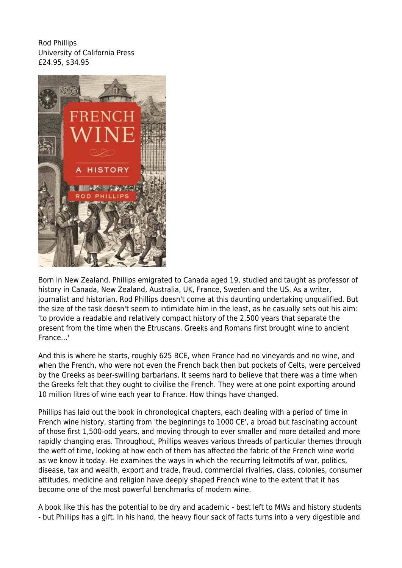Rod Phillips University of California Press £24.95, \$34.95



Born in New Zealand, Phillips emigrated to Canada aged 19, studied and taught as professor of history in Canada, New Zealand, Australia, UK, France, Sweden and the US. As a writer, journalist and historian, Rod Phillips doesn't come at this daunting undertaking unqualified. But the size of the task doesn't seem to intimidate him in the least, as he casually sets out his aim: 'to provide a readable and relatively compact history of the 2,500 years that separate the present from the time when the Etruscans, Greeks and Romans first brought wine to ancient France…'

And this is where he starts, roughly 625 BCE, when France had no vineyards and no wine, and when the French, who were not even the French back then but pockets of Celts, were perceived by the Greeks as beer-swilling barbarians. It seems hard to believe that there was a time when the Greeks felt that they ought to civilise the French. They were at one point exporting around 10 million litres of wine each year to France. How things have changed.

Phillips has laid out the book in chronological chapters, each dealing with a period of time in French wine history, starting from 'the beginnings to 1000 CE', a broad but fascinating account of those first 1,500-odd years, and moving through to ever smaller and more detailed and more rapidly changing eras. Throughout, Phillips weaves various threads of particular themes through the weft of time, looking at how each of them has affected the fabric of the French wine world as we know it today. He examines the ways in which the recurring leitmotifs of war, politics, disease, tax and wealth, export and trade, fraud, commercial rivalries, class, colonies, consumer attitudes, medicine and religion have deeply shaped French wine to the extent that it has become one of the most powerful benchmarks of modern wine.

A book like this has the potential to be dry and academic - best left to MWs and history students - but Phillips has a gift. In his hand, the heavy flour sack of facts turns into a very digestible and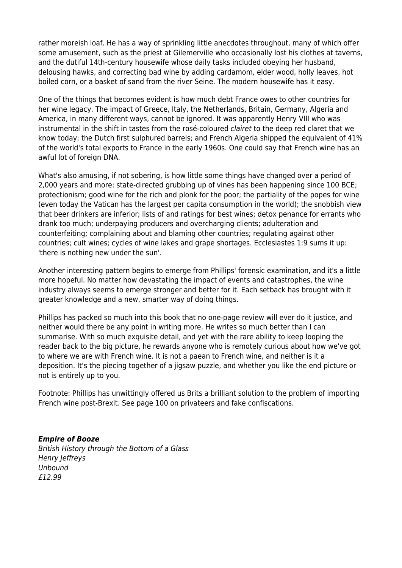rather moreish loaf. He has a way of sprinkling little anecdotes throughout, many of which offer some amusement, such as the priest at Gilemerville who occasionally lost his clothes at taverns, and the dutiful 14th-century housewife whose daily tasks included obeying her husband, delousing hawks, and correcting bad wine by adding cardamom, elder wood, holly leaves, hot boiled corn, or a basket of sand from the river Seine. The modern housewife has it easy.

One of the things that becomes evident is how much debt France owes to other countries for her wine legacy. The impact of Greece, Italy, the Netherlands, Britain, Germany, Algeria and America, in many different ways, cannot be ignored. It was apparently Henry VIII who was instrumental in the shift in tastes from the rosé-coloured clairet to the deep red claret that we know today; the Dutch first sulphured barrels; and French Algeria shipped the equivalent of 41% of the world's total exports to France in the early 1960s. One could say that French wine has an awful lot of foreign DNA.

What's also amusing, if not sobering, is how little some things have changed over a period of 2,000 years and more: state-directed grubbing up of vines has been happening since 100 BCE; protectionism; good wine for the rich and plonk for the poor; the partiality of the popes for wine (even today the Vatican has the largest per capita consumption in the world); the snobbish view that beer drinkers are inferior; lists of and ratings for best wines; detox penance for errants who drank too much; underpaying producers and overcharging clients; adulteration and counterfeiting; complaining about and blaming other countries; regulating against other countries; cult wines; cycles of wine lakes and grape shortages. Ecclesiastes 1:9 sums it up: 'there is nothing new under the sun'.

Another interesting pattern begins to emerge from Phillips' forensic examination, and it's a little more hopeful. No matter how devastating the impact of events and catastrophes, the wine industry always seems to emerge stronger and better for it. Each setback has brought with it greater knowledge and a new, smarter way of doing things.

Phillips has packed so much into this book that no one-page review will ever do it justice, and neither would there be any point in writing more. He writes so much better than I can summarise. With so much exquisite detail, and yet with the rare ability to keep looping the reader back to the big picture, he rewards anyone who is remotely curious about how we've got to where we are with French wine. It is not a paean to French wine, and neither is it a deposition. It's the piecing together of a jigsaw puzzle, and whether you like the end picture or not is entirely up to you.

Footnote: Phillips has unwittingly offered us Brits a brilliant solution to the problem of importing French wine post-Brexit. See page 100 on privateers and fake confiscations.

## *Empire of Booze*

British History through the Bottom of a Glass Henry Jeffreys Unbound £12.99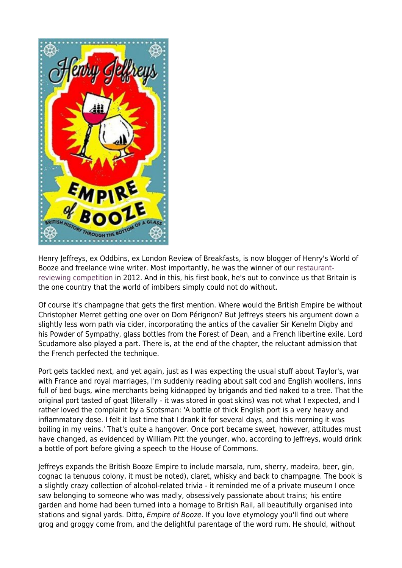

Henry Jeffreys, ex Oddbins, ex London Review of Breakfasts, is now blogger of Henry's World of Booze and freelance wine writer. Most importantly, he was the winner of our [restaurant](http://www.jancisrobinson.com/articles/we-have-a-winner-a-restaurant-expands)[reviewing competition](http://www.jancisrobinson.com/articles/we-have-a-winner-a-restaurant-expands) in 2012. And in this, his first book, he's out to convince us that Britain is the one country that the world of imbibers simply could not do without.

Of course it's champagne that gets the first mention. Where would the British Empire be without Christopher Merret getting one over on Dom Pérignon? But Jeffreys steers his argument down a slightly less worn path via cider, incorporating the antics of the cavalier Sir Kenelm Digby and his Powder of Sympathy, glass bottles from the Forest of Dean, and a French libertine exile. Lord Scudamore also played a part. There is, at the end of the chapter, the reluctant admission that the French perfected the technique.

Port gets tackled next, and yet again, just as I was expecting the usual stuff about Taylor's, war with France and royal marriages, I'm suddenly reading about salt cod and English woollens, inns full of bed bugs, wine merchants being kidnapped by brigands and tied naked to a tree. That the original port tasted of goat (literally - it was stored in goat skins) was not what I expected, and I rather loved the complaint by a Scotsman: 'A bottle of thick English port is a very heavy and inflammatory dose. I felt it last time that I drank it for several days, and this morning it was boiling in my veins.' That's quite a hangover. Once port became sweet, however, attitudes must have changed, as evidenced by William Pitt the younger, who, according to Jeffreys, would drink a bottle of port before giving a speech to the House of Commons.

Jeffreys expands the British Booze Empire to include marsala, rum, sherry, madeira, beer, gin, cognac (a tenuous colony, it must be noted), claret, whisky and back to champagne. The book is a slightly crazy collection of alcohol-related trivia - it reminded me of a private museum I once saw belonging to someone who was madly, obsessively passionate about trains; his entire garden and home had been turned into a homage to British Rail, all beautifully organised into stations and signal yards. Ditto, *Empire of Booze*. If you love etymology you'll find out where grog and groggy come from, and the delightful parentage of the word rum. He should, without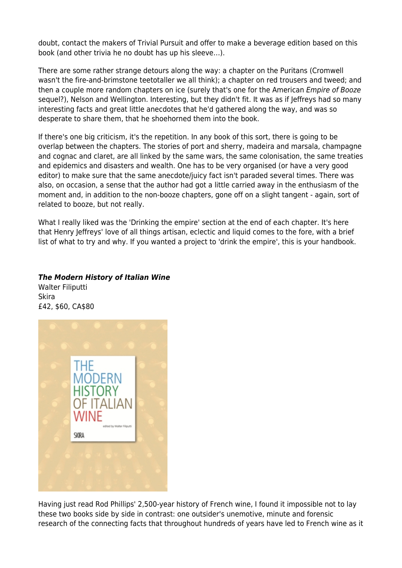doubt, contact the makers of Trivial Pursuit and offer to make a beverage edition based on this book (and other trivia he no doubt has up his sleeve…).

There are some rather strange detours along the way: a chapter on the Puritans (Cromwell wasn't the fire-and-brimstone teetotaller we all think); a chapter on red trousers and tweed; and then a couple more random chapters on ice (surely that's one for the American Empire of Booze sequel?), Nelson and Wellington. Interesting, but they didn't fit. It was as if Jeffreys had so many interesting facts and great little anecdotes that he'd gathered along the way, and was so desperate to share them, that he shoehorned them into the book.

If there's one big criticism, it's the repetition. In any book of this sort, there is going to be overlap between the chapters. The stories of port and sherry, madeira and marsala, champagne and cognac and claret, are all linked by the same wars, the same colonisation, the same treaties and epidemics and disasters and wealth. One has to be very organised (or have a very good editor) to make sure that the same anecdote/juicy fact isn't paraded several times. There was also, on occasion, a sense that the author had got a little carried away in the enthusiasm of the moment and, in addition to the non-booze chapters, gone off on a slight tangent - again, sort of related to booze, but not really.

What I really liked was the 'Drinking the empire' section at the end of each chapter. It's here that Henry Jeffreys' love of all things artisan, eclectic and liquid comes to the fore, with a brief list of what to try and why. If you wanted a project to 'drink the empire', this is your handbook.

## *The Modern History of Italian Wine*

Walter Filiputti Skira £42, \$60, CA\$80



Having just read Rod Phillips' 2,500-year history of French wine, I found it impossible not to lay these two books side by side in contrast: one outsider's unemotive, minute and forensic research of the connecting facts that throughout hundreds of years have led to French wine as it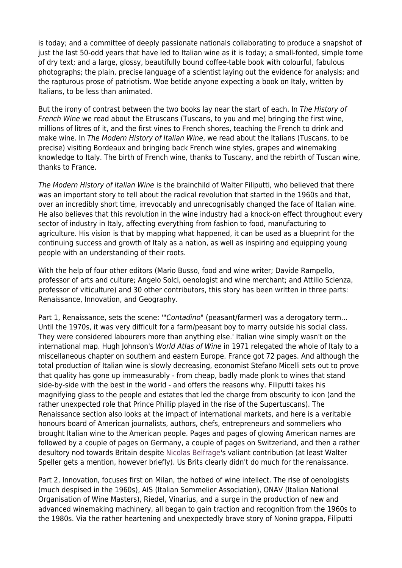is today; and a committee of deeply passionate nationals collaborating to produce a snapshot of just the last 50-odd years that have led to Italian wine as it is today; a small-fonted, simple tome of dry text; and a large, glossy, beautifully bound coffee-table book with colourful, fabulous photographs; the plain, precise language of a scientist laying out the evidence for analysis; and the rapturous prose of patriotism. Woe betide anyone expecting a book on Italy, written by Italians, to be less than animated.

But the irony of contrast between the two books lay near the start of each. In The History of French Wine we read about the Etruscans (Tuscans, to you and me) bringing the first wine, millions of litres of it, and the first vines to French shores, teaching the French to drink and make wine. In The Modern History of Italian Wine, we read about the Italians (Tuscans, to be precise) visiting Bordeaux and bringing back French wine styles, grapes and winemaking knowledge to Italy. The birth of French wine, thanks to Tuscany, and the rebirth of Tuscan wine, thanks to France.

The Modern History of Italian Wine is the brainchild of Walter Filiputti, who believed that there was an important story to tell about the radical revolution that started in the 1960s and that, over an incredibly short time, irrevocably and unrecognisably changed the face of Italian wine. He also believes that this revolution in the wine industry had a knock-on effect throughout every sector of industry in Italy, affecting everything from fashion to food, manufacturing to agriculture. His vision is that by mapping what happened, it can be used as a blueprint for the continuing success and growth of Italy as a nation, as well as inspiring and equipping young people with an understanding of their roots.

With the help of four other editors (Mario Busso, food and wine writer; Davide Rampello, professor of arts and culture; Angelo Solci, oenologist and wine merchant; and Attilio Scienza, professor of viticulture) and 30 other contributors, this story has been written in three parts: Renaissance, Innovation, and Geography.

Part 1, Renaissance, sets the scene: "Contadino" (peasant/farmer) was a derogatory term... Until the 1970s, it was very difficult for a farm/peasant boy to marry outside his social class. They were considered labourers more than anything else.' Italian wine simply wasn't on the international map. Hugh Johnson's World Atlas of Wine in 1971 relegated the whole of Italy to a miscellaneous chapter on southern and eastern Europe. France got 72 pages. And although the total production of Italian wine is slowly decreasing, economist Stefano Micelli sets out to prove that quality has gone up immeasurably - from cheap, badly made plonk to wines that stand side-by-side with the best in the world - and offers the reasons why. Filiputti takes his magnifying glass to the people and estates that led the charge from obscurity to icon (and the rather unexpected role that Prince Phillip played in the rise of the Supertuscans). The Renaissance section also looks at the impact of international markets, and here is a veritable honours board of American journalists, authors, chefs, entrepreneurs and sommeliers who brought Italian wine to the American people. Pages and pages of glowing American names are followed by a couple of pages on Germany, a couple of pages on Switzerland, and then a rather desultory nod towards Britain despite [Nicolas Belfrage](http://www.jancisrobinson.com/articles/brunello-2012s-first-impressions)'s valiant contribution (at least Walter Speller gets a mention, however briefly). Us Brits clearly didn't do much for the renaissance.

Part 2, Innovation, focuses first on Milan, the hotbed of wine intellect. The rise of oenologists (much despised in the 1960s), AIS (Italian Sommelier Association), ONAV (Italian National Organisation of Wine Masters), Riedel, Vinarius, and a surge in the production of new and advanced winemaking machinery, all began to gain traction and recognition from the 1960s to the 1980s. Via the rather heartening and unexpectedly brave story of Nonino grappa, Filiputti